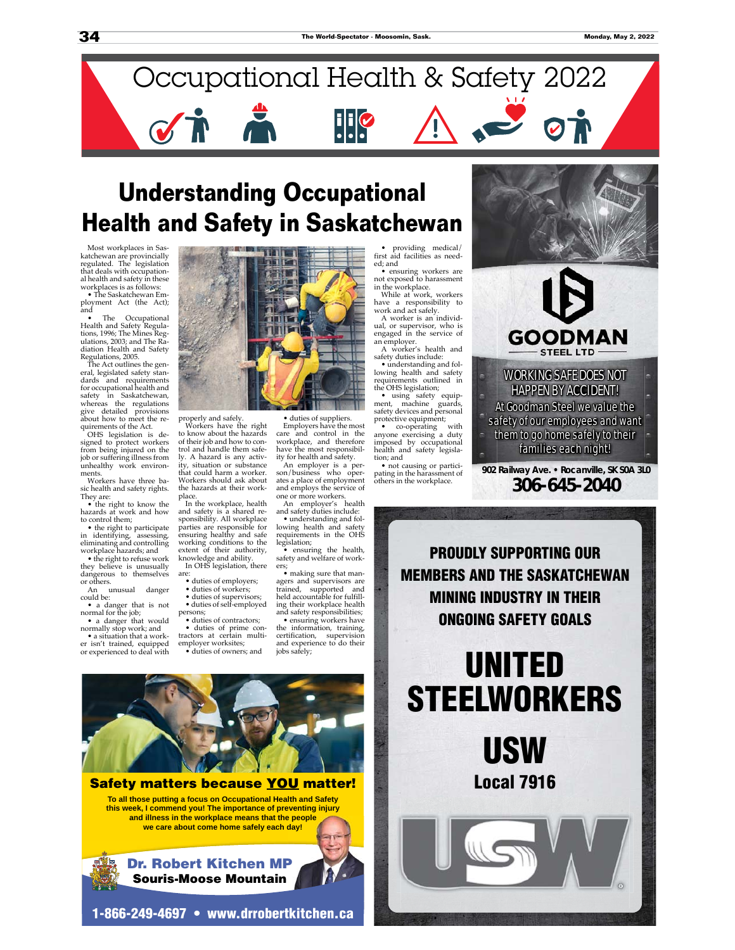

## **Understanding Occupational Health and Safety in Saskatchewan**

Most workplaces in Saskatchewan are provincially regulated. The legislation that deals with occupation-al health and safety in these

workplaces is as follows: • The Saskatchewan Employment Act (the Act); and

The Occupational Health and Safety Regulations, 1996; The Mines Reg-ulations, 2003; and The Ra-diation Health and Safety Regulations, 2005. The Act outlines the gen-

eral, legislated safety stan-dards and requirements for occupational health and safety in Saskatchewan, whereas the regulations give detailed provisions about how to meet the re-

quirements of the Act. OHS legislation is de-signed to protect workers from being injured on the job or suffering illness from unhealthy work environments.

Workers have three basic health and safety rights. They are: • the right to know the

hazards at work and how to control them;

• the right to participate in identifying, assessing, eliminating and controlling workplace hazards; and

• the right to refuse work they believe is unusually dangerous to themselves  $\frac{6}{10}$  or others.

unusual danger could be:

• a danger that is not normal for the job; • a danger that would

normally stop work; and • a situation that a work-

er isn't trained, equipped or experienced to deal with



• duties of suppliers. Employers have the most care and control in the workplace, and therefore have the most responsibility for health and safety. An employer is a per-son/business who operates a place of employment and employs the service of one or more workers. An employer's health and safety duties include: • understanding and following health and safety requirements in the OHS

legislation;

jobs safely;

• ensuring the health, safety and welfare of workers; • making sure that managers and supervisors are trained, supported and held accountable for fulfilling their workplace health and safety responsibilities; • ensuring workers have the information, training, certification, supervision and experience to do their

properly and safely. Workers have the right to know about the hazards of their job and how to control and handle them safely. A hazard is any activity, situation or substance that could harm a worker. Workers should ask about the hazards at their workplace

In the workplace, health and safety is a shared re-sponsibility. All workplace parties are responsible for ensuring healthy and safe working conditions to the extent of their authority, knowledge and ability. In OHS legislation, there

are: • duties of employers;

• duties of workers;

• duties of supervisors; • duties of self-employed

persons; • duties of contractors;

• duties of prime con-tractors at certain multiemployer worksites; • duties of owners; and

ual, or supervisor, who is

safety duties include: • understanding and fol-

• using safety equip-ment, machine guards,

• not causing or participating in the harassment of



WORKING SAFE DOES NOT **HAPPEN BY ACCIDENT!** At Goodman Steel we value the safety of our employees and want them to go home safely to their families each night!

**902 Railway Ave. • Rocanville, SK S0A 3L0 306-645-2040** 

PROUDLY SUPPORTING OUR MEMBERS AND THE SASKATCHEWAN MINING INDUSTRY IN THEIR ONGOING SAFETY GOALS

# UNITED **STEELWORKERS**

USW

Local 7916



Safety matters because YOU matter!

**To all those putting a focus on Occupational Health and Safety this week, I commend you! The importance of preventing injury and illness in the workplace means that the people we care about come home safely each day!**



• providing medical/ first aid facilities as need-

ed; and • ensuring workers are not exposed to harassment in the workplace. While at work, workers

have a responsibility to<br>work and act safely.<br>A worker is an individ-

engaged in the service of an employer. A worker's health and

the OHS legislation;

tion; and

others in the workplace.



protective equipment;<br>• co-operating with<br>anyone exercising a duty<br>imposed by occupational<br>health and safety legisla-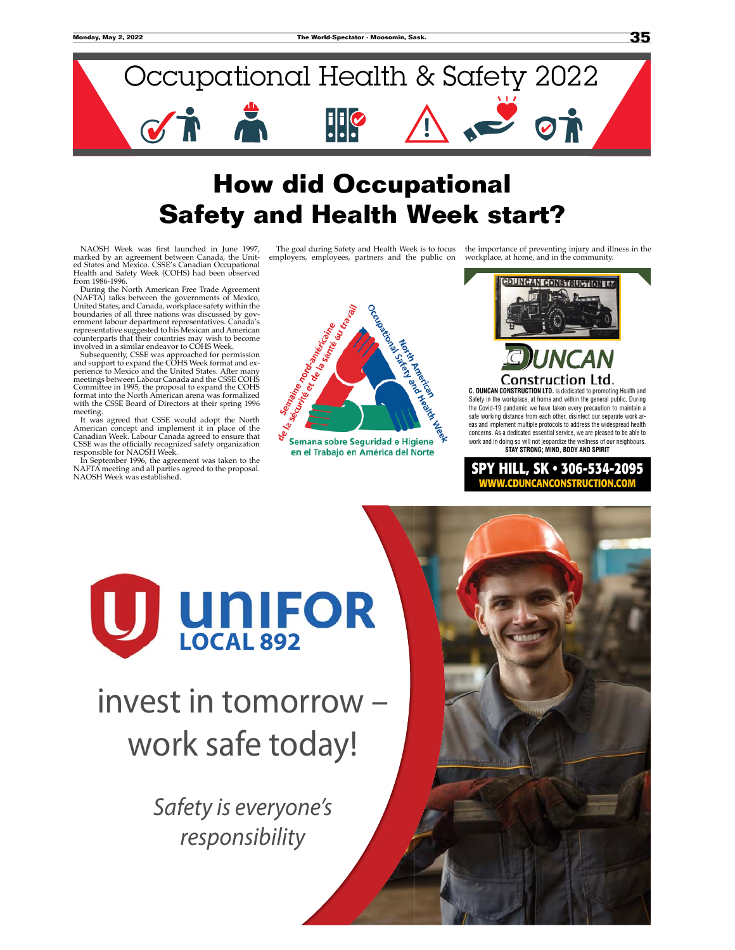

## **How did Occupational Safety and Health Week start?**

NAOSH Week was first launched in June 1997, marked by an agreement between Canada, the United States and Mexico. CSSE's Canadian Occupational Health and Safety Week (COHS) had been observed from 1986-1996.

Four 1200-1200.<br>The North American Free Trade Agreement (NAFTA) talks between the governments of Mexico,<br>United States, and Canada, workplace safety within the<br>boundaries of all three nations was discussed by govboundary of an uncertainty exercised experiment labour department representatives. Canada's representative suggested to his Mexican and American counterparts that their countries may wish to become involved in a similar en

myovec in a similar enterator to COTD veces.<br>Subsequently, CSSE was approached for permission<br>and support to expand the COHS Week format and ex-<br>perience to Mexico and the United States. After many meetings between Labour Canada and the CSSE COHS Committee in 1995, the proposal to expand the COHS<br>format into the North American arena was formalized with the CSSE Board of Directors at their spring 1996

CSSE was the officially recognized safety organization<br>responsible for NAOSH Week.

In September 1996, the agreement was taken to the NAFTA meeting and all parties agreed to the proposal. NAOSH Week was established.

The goal during Safety and Health Week is to focus<br>employers, employees, partners and the public on



Semana sobre Seguridad e Higiene en el Trabajo en América del Norte the importance of preventing injury and illness in the workplace, at home, and in the community.

35



Safety in the workplace, at home and within the general public. During the Covid-19 pandemic we have taken every precaution to maintain a safe working distance from each other, disinfect our separate work areas and implement multiple protocols to address the widespread health concerns. As a dedicated essential service, we are pleased to be able to work and in doing so will not jeopardize the wellness of our neighbours. STAY STRONG; MIND, BODY AND SPIRIT

SPY HILL, SK · 306-534-2095 <u>V.CDUNCANCONSTRUCTION.CO</u>



invest in tomorrow work safe today!

> Safety is everyone's responsibility